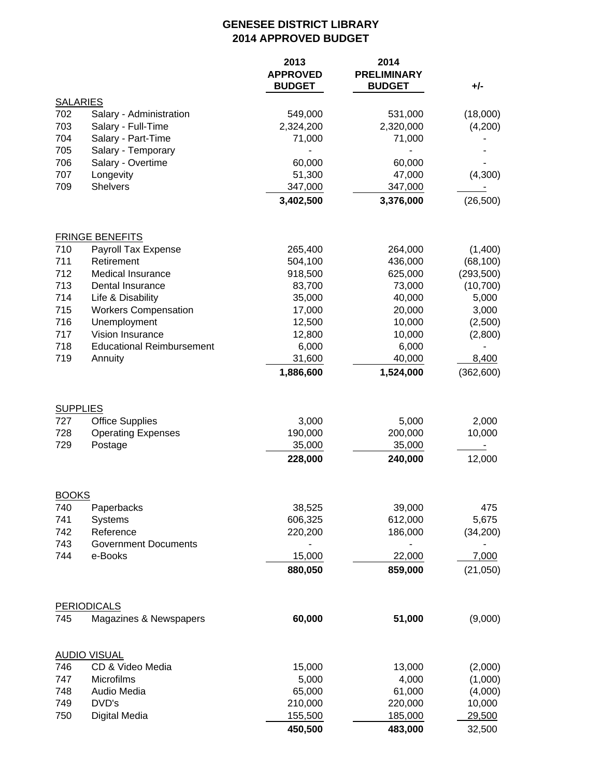## **GENESEE DISTRICT LIBRARY 2014 APPROVED BUDGET**

|                        |                                  | 2013<br><b>APPROVED</b><br><b>BUDGET</b> | 2014<br><b>PRELIMINARY</b><br><b>BUDGET</b> | $+/-$      |
|------------------------|----------------------------------|------------------------------------------|---------------------------------------------|------------|
| <b>SALARIES</b>        |                                  |                                          |                                             |            |
| 702                    | Salary - Administration          | 549,000                                  | 531,000                                     | (18,000)   |
| 703                    | Salary - Full-Time               | 2,324,200                                | 2,320,000                                   | (4,200)    |
| 704                    | Salary - Part-Time               | 71,000                                   | 71,000                                      |            |
| 705                    | Salary - Temporary               |                                          |                                             |            |
| 706                    | Salary - Overtime                | 60,000                                   | 60,000                                      |            |
| 707                    | Longevity                        | 51,300                                   | 47,000                                      | (4,300)    |
| 709                    | <b>Shelvers</b>                  | 347,000                                  | 347,000                                     |            |
|                        |                                  | 3,402,500                                | 3,376,000                                   | (26, 500)  |
|                        | <b>FRINGE BENEFITS</b>           |                                          |                                             |            |
| 710                    | Payroll Tax Expense              | 265,400                                  | 264,000                                     | (1,400)    |
| 711                    | Retirement                       | 504,100                                  | 436,000                                     | (68, 100)  |
| 712                    | <b>Medical Insurance</b>         | 918,500                                  | 625,000                                     | (293, 500) |
| 713                    | Dental Insurance                 | 83,700                                   | 73,000                                      | (10, 700)  |
| 714                    | Life & Disability                | 35,000                                   | 40,000                                      | 5,000      |
| 715                    | <b>Workers Compensation</b>      | 17,000                                   | 20,000                                      | 3,000      |
| 716                    | Unemployment                     | 12,500                                   | 10,000                                      | (2,500)    |
| 717                    | Vision Insurance                 | 12,800                                   | 10,000                                      | (2,800)    |
| 718                    | <b>Educational Reimbursement</b> | 6,000                                    | 6,000                                       |            |
| 719                    | Annuity                          | 31,600                                   | 40,000                                      | 8,400      |
|                        |                                  | 1,886,600                                | 1,524,000                                   | (362, 600) |
| <b>SUPPLIES</b><br>727 | <b>Office Supplies</b>           | 3,000                                    | 5,000                                       | 2,000      |
| 728                    | <b>Operating Expenses</b>        | 190,000                                  | 200,000                                     | 10,000     |
| 729                    | Postage                          | 35,000                                   | 35,000                                      |            |
|                        |                                  | 228,000                                  | 240,000                                     | 12,000     |
|                        |                                  |                                          |                                             |            |
| <b>BOOKS</b><br>740    |                                  |                                          | 39,000                                      | 475        |
| 741                    | Paperbacks<br>Systems            | 38,525<br>606,325                        | 612,000                                     | 5,675      |
| 742                    | Reference                        | 220,200                                  | 186,000                                     |            |
| 743                    | <b>Government Documents</b>      |                                          |                                             | (34, 200)  |
| 744                    | e-Books                          | 15,000                                   | 22,000                                      | 7,000      |
|                        |                                  | 880,050                                  | 859,000                                     | (21,050)   |
|                        |                                  |                                          |                                             |            |
|                        | <b>PERIODICALS</b>               |                                          |                                             |            |
| 745                    | Magazines & Newspapers           | 60,000                                   | 51,000                                      | (9,000)    |
|                        | <b>AUDIO VISUAL</b>              |                                          |                                             |            |
| 746                    | CD & Video Media                 | 15,000                                   | 13,000                                      | (2,000)    |
| 747                    | Microfilms                       | 5,000                                    | 4,000                                       | (1,000)    |
| 748                    | Audio Media                      | 65,000                                   | 61,000                                      | (4,000)    |
| 749                    | DVD's                            | 210,000                                  | 220,000                                     | 10,000     |
| 750                    | Digital Media                    | 155,500                                  | 185,000                                     | 29,500     |
|                        |                                  | 450,500                                  | 483,000                                     | 32,500     |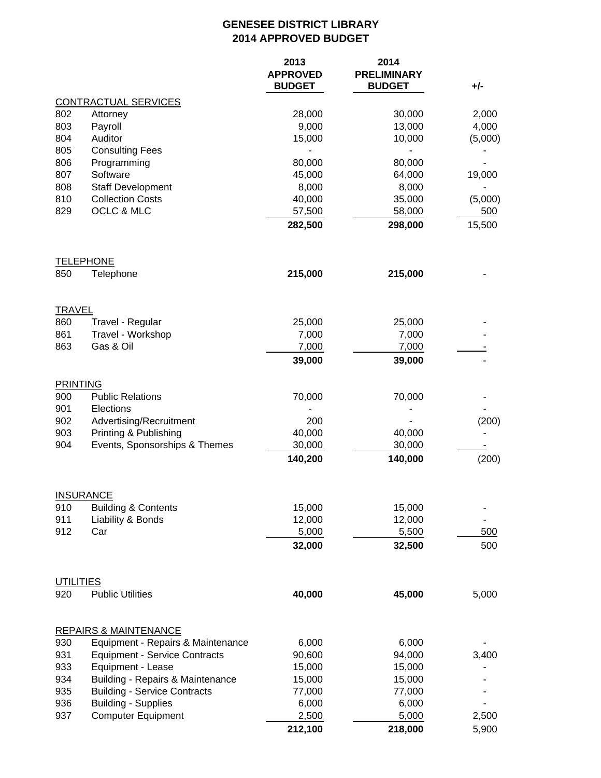## **GENESEE DISTRICT LIBRARY 2014 APPROVED BUDGET**

|                      |                                                     | 2013<br><b>APPROVED</b><br><b>BUDGET</b> | 2014<br><b>PRELIMINARY</b><br><b>BUDGET</b> | +/-            |
|----------------------|-----------------------------------------------------|------------------------------------------|---------------------------------------------|----------------|
|                      | <b>CONTRACTUAL SERVICES</b>                         |                                          |                                             |                |
| 802                  | Attorney                                            | 28,000                                   | 30,000                                      | 2,000          |
| 803                  | Payroll                                             | 9,000                                    | 13,000                                      | 4,000          |
| 804                  | Auditor                                             | 15,000                                   | 10,000                                      | (5,000)        |
| 805                  | <b>Consulting Fees</b>                              |                                          |                                             |                |
| 806                  | Programming                                         | 80,000                                   | 80,000                                      |                |
| 807                  | Software                                            | 45,000                                   | 64,000                                      | 19,000         |
| 808                  | <b>Staff Development</b><br><b>Collection Costs</b> | 8,000                                    | 8,000                                       |                |
| 810<br>829           | OCLC & MLC                                          | 40,000<br>57,500                         | 35,000<br>58,000                            | (5,000)<br>500 |
|                      |                                                     | 282,500                                  | 298,000                                     | 15,500         |
| 850                  | <b>TELEPHONE</b><br>Telephone                       | 215,000                                  | 215,000                                     |                |
|                      |                                                     |                                          |                                             |                |
| <b>TRAVEL</b><br>860 | Travel - Regular                                    | 25,000                                   | 25,000                                      |                |
| 861                  | Travel - Workshop                                   | 7,000                                    | 7,000                                       |                |
| 863                  | Gas & Oil                                           | 7,000                                    | 7,000                                       |                |
|                      |                                                     | 39,000                                   | 39,000                                      |                |
| <b>PRINTING</b>      |                                                     |                                          |                                             |                |
| 900                  | <b>Public Relations</b>                             | 70,000                                   | 70,000                                      |                |
| 901                  | Elections                                           |                                          |                                             |                |
| 902                  | Advertising/Recruitment                             | 200                                      |                                             | (200)          |
| 903                  | Printing & Publishing                               | 40,000                                   | 40,000                                      |                |
| 904                  | Events, Sponsorships & Themes                       | 30,000                                   | 30,000                                      |                |
|                      |                                                     | 140,200                                  | 140,000                                     | (200)          |
|                      | <b>INSURANCE</b>                                    |                                          |                                             |                |
| 910                  | <b>Building &amp; Contents</b>                      | 15,000                                   | 15,000                                      |                |
| 911                  | Liability & Bonds                                   | 12,000                                   | 12,000                                      |                |
| 912                  | Car                                                 | 5,000                                    | 5,500                                       | 500            |
|                      |                                                     | 32,000                                   | 32,500                                      | 500            |
| <b>UTILITIES</b>     |                                                     |                                          |                                             |                |
| 920                  | <b>Public Utilities</b>                             | 40,000                                   | 45,000                                      | 5,000          |
|                      | <b>REPAIRS &amp; MAINTENANCE</b>                    |                                          |                                             |                |
| 930                  | Equipment - Repairs & Maintenance                   | 6,000                                    | 6,000                                       |                |
| 931                  | <b>Equipment - Service Contracts</b>                | 90,600                                   | 94,000                                      | 3,400          |
| 933                  | Equipment - Lease                                   | 15,000                                   | 15,000                                      |                |
| 934                  | Building - Repairs & Maintenance                    | 15,000                                   | 15,000                                      |                |
| 935                  | <b>Building - Service Contracts</b>                 | 77,000                                   | 77,000                                      |                |
| 936<br>937           | <b>Building - Supplies</b>                          | 6,000                                    | 6,000                                       |                |
|                      | <b>Computer Equipment</b>                           | 2,500                                    | 5,000                                       | 2,500          |
|                      |                                                     | 212,100                                  | 218,000                                     | 5,900          |